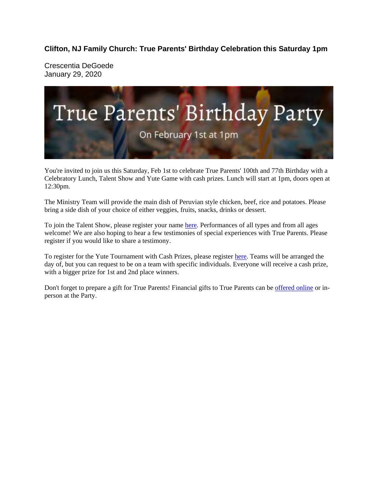**Clifton, NJ Family Church: True Parents' Birthday Celebration this Saturday 1pm** 

Crescentia DeGoede January 29, 2020



You're invited to join us this Saturday, Feb 1st to celebrate True Parents' 100th and 77th Birthday with a Celebratory Lunch, Talent Show and Yute Game with cash prizes. Lunch will start at 1pm, doors open at 12:30pm.

The Ministry Team will provide the main dish of Peruvian style chicken, beef, rice and potatoes. Please bring a side dish of your choice of either veggies, fruits, snacks, drinks or dessert.

To join the Talent Show, please register your name here. Performances of all types and from all ages welcome! We are also hoping to hear a few testimonies of special experiences with True Parents. Please register if you would like to share a testimony.

To register for the Yute Tournament with Cash Prizes, please register here. Teams will be arranged the day of, but you can request to be on a team with specific individuals. Everyone will receive a cash prize, with a bigger prize for 1st and 2nd place winners.

Don't forget to prepare a gift for True Parents! Financial gifts to True Parents can be offered online or inperson at the Party.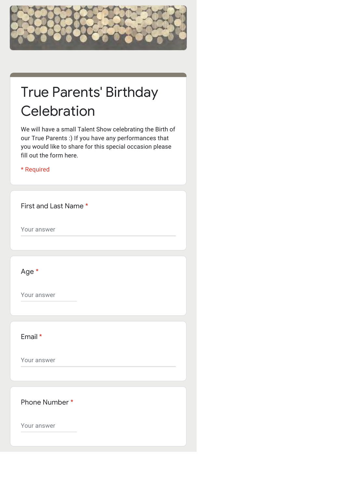

## True Parents' Birthday **Celebration**

We will have a small Talent Show celebrating the Birth of our True Parents :) If you have any performances that you would like to share for this special occasion please fill out the form here.

\* Required

First and Last Name \*

Your answer

Age \*

Your answer

Email \*

Your answer

Phone Number \*

Your answer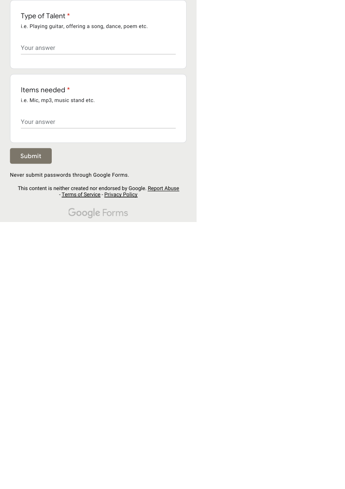## Type of Talent \*

i.e. Playing guitar, offering a song, dance, poem etc.

Your answer

Items needed \*

i.e. Mic, mp3, music stand etc.

Your answer

Submit

Never submit passwords through Google Forms.

This content is neither created nor endorsed by Google. Report Abuse - Terms of Service - Privacy Policy

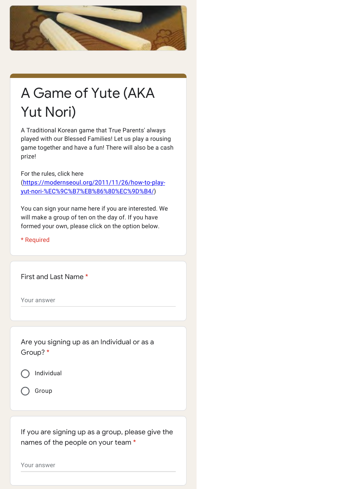

## A Game of Yute (AKA Yut Nori)

A Traditional Korean game that True Parents' always played with our Blessed Families! Let us play a rousing game together and have a fun! There will also be a cash prize!

For the rules, click here (https://modernseoul.org/2011/11/26/how-to-playyut-nori-%EC%9C%B7%EB%86%80%EC%9D%B4/)

You can sign your name here if you are interested. We will make a group of ten on the day of. If you have formed your own, please click on the option below.

\* Required

First and Last Name \*

Your answer

Are you signing up as an Individual or as a Group? \*





If you are signing up as a group, please give the names of the people on your team \*

Your answer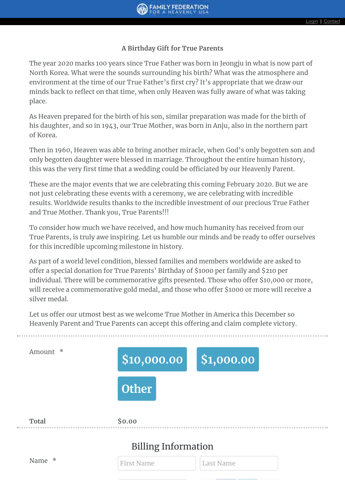## **A Birthday Gift for True Parents**

The year 2020 marks 100 years since True Father was born in Jeongju in what is now part of North Korea. What were the sounds surrounding his birth? What was the atmosphere and environment at the time of our True Father's first cry? It's appropriate that we draw our minds back to reflect on that time, when only Heaven was fully aware of what was taking place.

As Heaven prepared for the birth of his son, similar preparation was made for the birth of his daughter, and so in 1943, our True Mother, was born in Anju, also in the northern part of Korea.

Then in 1960, Heaven was able to bring another miracle, when God's only begotten son and only begotten daughter were blessed in marriage. Throughout the entire human history, this was the very first time that a wedding could be officiated by our Heavenly Parent.

These are the major events that we are celebrating this coming February 2020. But we are not just celebrating these events with a ceremony, we are celebrating with incredible results. Worldwide results thanks to the incredible investment of our precious True Father and True Mother. Thank you, True Parents!!!

To consider how much we have received, and how much humanity has received from our True Parents, is truly awe inspiring. Let us humble our minds and be ready to offer ourselves for this incredible upcoming milestone in history.

As part of a world level condition, blessed families and members worldwide are asked to offer a special donation for True Parents' Birthday of \$1000 per family and \$210 per individual. There will be commemorative gifts presented. Those who offer \$10,000 or more, will receive a commemorative gold medal, and those who offer \$1000 or more will receive a silver medal.

Let us offer our utmost best as we welcome True Mother in America this December so Heavenly Parent and True Parents can accept this offering and claim complete victory.